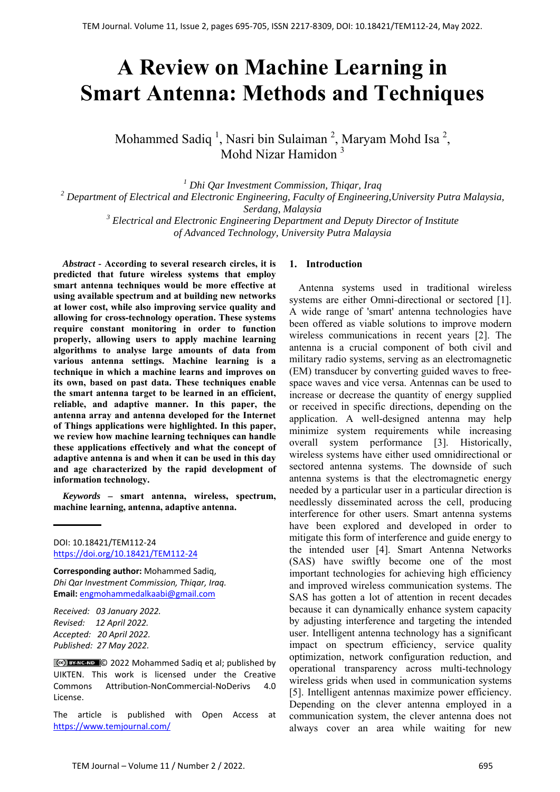# **A Review on Machine Learning in Smart Antenna: Methods and Techniques**

Mohammed Sadiq<sup>1</sup>, Nasri bin Sulaiman<sup>2</sup>, Maryam Mohd Isa<sup>2</sup>, Mohd Nizar Hamidon 3

*1 Dhi Qar Investment Commission, Thiqar, Iraq 2 Department of Electrical and Electronic Engineering, Faculty of Engineering,University Putra Malaysia, Serdang, Malaysia*  <sup>3</sup> Electrical and Electronic Engineering Department and Deputy Director of Institute

*of Advanced Technology, University Putra Malaysia*

*Abstract -* **According to several research circles, it is predicted that future wireless systems that employ smart antenna techniques would be more effective at using available spectrum and at building new networks at lower cost, while also improving service quality and allowing for cross-technology operation. These systems require constant monitoring in order to function properly, allowing users to apply machine learning algorithms to analyse large amounts of data from various antenna settings. Machine learning is a technique in which a machine learns and improves on its own, based on past data. These techniques enable the smart antenna target to be learned in an efficient, reliable, and adaptive manner. In this paper, the antenna array and antenna developed for the Internet of Things applications were highlighted. In this paper, we review how machine learning techniques can handle these applications effectively and what the concept of adaptive antenna is and when it can be used in this day and age characterized by the rapid development of information technology.** 

*Keywords –* **smart antenna, wireless, spectrum, machine learning, antenna, adaptive antenna.** 

DOI: 10.18421/TEM112-24 [https://doi.org/10.18421/TEM112](https://doi.org/10.18421/TEM112-24)-24

**Corresponding author:** Mohammed Sadiq, *Dhi Qar Investment Commission, Thiqar, Iraq.*  **Email:** engmohammedalkaabi@gmail.com

*Received: 03 January 2022. Revised: 12 April 2022. Accepted: 20 April 2022. Published: 27 May 2022.* 

© 2022 Mohammed Sadiq et al; published by UIKTEN. This work is licensed under the Creative Commons Attribution‐NonCommercial‐NoDerivs 4.0 License.

The article is published with Open Access at https://www.temjournal.com/

## **1. Introduction**

Antenna systems used in traditional wireless systems are either Omni-directional or sectored [1]. A wide range of 'smart' antenna technologies have been offered as viable solutions to improve modern wireless communications in recent years [2]. The antenna is a crucial component of both civil and military radio systems, serving as an electromagnetic (EM) transducer by converting guided waves to freespace waves and vice versa. Antennas can be used to increase or decrease the quantity of energy supplied or received in specific directions, depending on the application. A well-designed antenna may help minimize system requirements while increasing overall system performance [3]. Historically, wireless systems have either used omnidirectional or sectored antenna systems. The downside of such antenna systems is that the electromagnetic energy needed by a particular user in a particular direction is needlessly disseminated across the cell, producing interference for other users. Smart antenna systems have been explored and developed in order to mitigate this form of interference and guide energy to the intended user [4]. Smart Antenna Networks (SAS) have swiftly become one of the most important technologies for achieving high efficiency and improved wireless communication systems. The SAS has gotten a lot of attention in recent decades because it can dynamically enhance system capacity by adjusting interference and targeting the intended user. Intelligent antenna technology has a significant impact on spectrum efficiency, service quality optimization, network configuration reduction, and operational transparency across multi-technology wireless grids when used in communication systems [5]. Intelligent antennas maximize power efficiency. Depending on the clever antenna employed in a communication system, the clever antenna does not always cover an area while waiting for new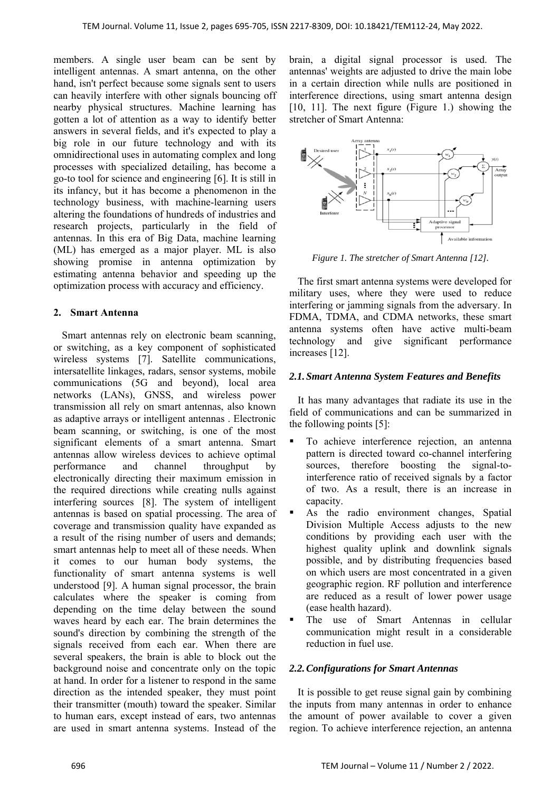members. A single user beam can be sent by intelligent antennas. A smart antenna, on the other hand, isn't perfect because some signals sent to users can heavily interfere with other signals bouncing off nearby physical structures. Machine learning has gotten a lot of attention as a way to identify better answers in several fields, and it's expected to play a big role in our future technology and with its omnidirectional uses in automating complex and long processes with specialized detailing, has become a go-to tool for science and engineering [6]. It is still in its infancy, but it has become a phenomenon in the technology business, with machine-learning users altering the foundations of hundreds of industries and research projects, particularly in the field of antennas. In this era of Big Data, machine learning (ML) has emerged as a major player. ML is also showing promise in antenna optimization by estimating antenna behavior and speeding up the optimization process with accuracy and efficiency.

# **2. Smart Antenna**

Smart antennas rely on electronic beam scanning, or switching, as a key component of sophisticated wireless systems [7]. Satellite communications, intersatellite linkages, radars, sensor systems, mobile communications (5G and beyond), local area networks (LANs), GNSS, and wireless power transmission all rely on smart antennas, also known as adaptive arrays or intelligent antennas . Electronic beam scanning, or switching, is one of the most significant elements of a smart antenna. Smart antennas allow wireless devices to achieve optimal performance and channel throughput by electronically directing their maximum emission in the required directions while creating nulls against interfering sources [8]. The system of intelligent antennas is based on spatial processing. The area of coverage and transmission quality have expanded as a result of the rising number of users and demands; smart antennas help to meet all of these needs. When it comes to our human body systems, the functionality of smart antenna systems is well understood [9]. A human signal processor, the brain calculates where the speaker is coming from depending on the time delay between the sound waves heard by each ear. The brain determines the sound's direction by combining the strength of the signals received from each ear. When there are several speakers, the brain is able to block out the background noise and concentrate only on the topic at hand. In order for a listener to respond in the same direction as the intended speaker, they must point their transmitter (mouth) toward the speaker. Similar to human ears, except instead of ears, two antennas are used in smart antenna systems. Instead of the

brain, a digital signal processor is used. The antennas' weights are adjusted to drive the main lobe in a certain direction while nulls are positioned in interference directions, using smart antenna design [10, 11]. The next figure (Figure 1.) showing the stretcher of Smart Antenna:



*Figure 1. The stretcher of Smart Antenna [12].* 

The first smart antenna systems were developed for military uses, where they were used to reduce interfering or jamming signals from the adversary. In FDMA, TDMA, and CDMA networks, these smart antenna systems often have active multi-beam technology and give significant performance increases [12].

# *2.1.Smart Antenna System Features and Benefits*

It has many advantages that radiate its use in the field of communications and can be summarized in the following points [5]:

- To achieve interference rejection, an antenna pattern is directed toward co-channel interfering sources, therefore boosting the signal-tointerference ratio of received signals by a factor of two. As a result, there is an increase in capacity.
- As the radio environment changes, Spatial Division Multiple Access adjusts to the new conditions by providing each user with the highest quality uplink and downlink signals possible, and by distributing frequencies based on which users are most concentrated in a given geographic region. RF pollution and interference are reduced as a result of lower power usage (ease health hazard).
- The use of Smart Antennas in cellular communication might result in a considerable reduction in fuel use.

# *2.2.Configurations for Smart Antennas*

It is possible to get reuse signal gain by combining the inputs from many antennas in order to enhance the amount of power available to cover a given region. To achieve interference rejection, an antenna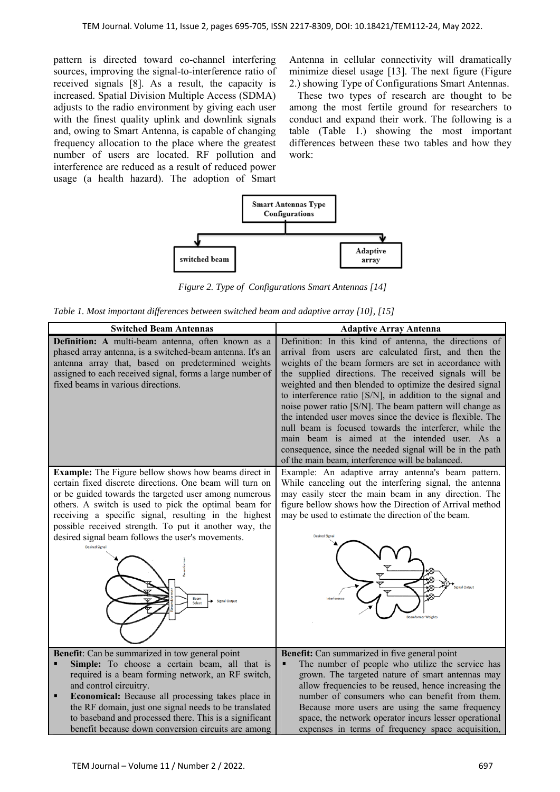pattern is directed toward co-channel interfering sources, improving the signal-to-interference ratio of received signals [8]. As a result, the capacity is increased. Spatial Division Multiple Access (SDMA) adjusts to the radio environment by giving each user with the finest quality uplink and downlink signals and, owing to Smart Antenna, is capable of changing frequency allocation to the place where the greatest number of users are located. RF pollution and interference are reduced as a result of reduced power usage (a health hazard). The adoption of Smart

Antenna in cellular connectivity will dramatically minimize diesel usage [13]. The next figure (Figure 2.) showing Type of Configurations Smart Antennas.

These two types of research are thought to be among the most fertile ground for researchers to conduct and expand their work. The following is a table (Table 1.) showing the most important differences between these two tables and how they work:



*Figure 2. Type of Configurations Smart Antennas [14]* 

*Table 1. Most important differences between switched beam and adaptive array [10], [15]* 

| <b>Switched Beam Antennas</b>                                                                                                                                                                                                                                                                                                                                                                                                                                                        | <b>Adaptive Array Antenna</b>                                                                                                                                                                                                                                                                                                                                                                                                                                                                                                                                                                                                                                                                                    |
|--------------------------------------------------------------------------------------------------------------------------------------------------------------------------------------------------------------------------------------------------------------------------------------------------------------------------------------------------------------------------------------------------------------------------------------------------------------------------------------|------------------------------------------------------------------------------------------------------------------------------------------------------------------------------------------------------------------------------------------------------------------------------------------------------------------------------------------------------------------------------------------------------------------------------------------------------------------------------------------------------------------------------------------------------------------------------------------------------------------------------------------------------------------------------------------------------------------|
| Definition: A multi-beam antenna, often known as a<br>phased array antenna, is a switched-beam antenna. It's an<br>antenna array that, based on predetermined weights<br>assigned to each received signal, forms a large number of<br>fixed beams in various directions.                                                                                                                                                                                                             | Definition: In this kind of antenna, the directions of<br>arrival from users are calculated first, and then the<br>weights of the beam formers are set in accordance with<br>the supplied directions. The received signals will be<br>weighted and then blended to optimize the desired signal<br>to interference ratio [S/N], in addition to the signal and<br>noise power ratio [S/N]. The beam pattern will change as<br>the intended user moves since the device is flexible. The<br>null beam is focused towards the interferer, while the<br>main beam is aimed at the intended user. As a<br>consequence, since the needed signal will be in the path<br>of the main beam, interference will be balanced. |
| <b>Example:</b> The Figure bellow shows how beams direct in<br>certain fixed discrete directions. One beam will turn on<br>or be guided towards the targeted user among numerous<br>others. A switch is used to pick the optimal beam for<br>receiving a specific signal, resulting in the highest<br>possible received strength. To put it another way, the<br>desired signal beam follows the user's movements.<br><b>Desired Signal</b><br>Beam<br><b>Signal Output</b><br>Select | Example: An adaptive array antenna's beam pattern.<br>While canceling out the interfering signal, the antenna<br>may easily steer the main beam in any direction. The<br>figure bellow shows how the Direction of Arrival method<br>may be used to estimate the direction of the beam.<br><b>Desired Signa</b><br>ignal Output                                                                                                                                                                                                                                                                                                                                                                                   |
| <b>Benefit:</b> Can be summarized in tow general point<br>Simple: To choose a certain beam, all that is<br>required is a beam forming network, an RF switch,<br>and control circuitry.<br>Economical: Because all processing takes place in<br>п<br>the RF domain, just one signal needs to be translated<br>to baseband and processed there. This is a significant<br>benefit because down conversion circuits are among                                                            | Benefit: Can summarized in five general point<br>The number of people who utilize the service has<br>Ξ<br>grown. The targeted nature of smart antennas may<br>allow frequencies to be reused, hence increasing the<br>number of consumers who can benefit from them.<br>Because more users are using the same frequency<br>space, the network operator incurs lesser operational<br>expenses in terms of frequency space acquisition,                                                                                                                                                                                                                                                                            |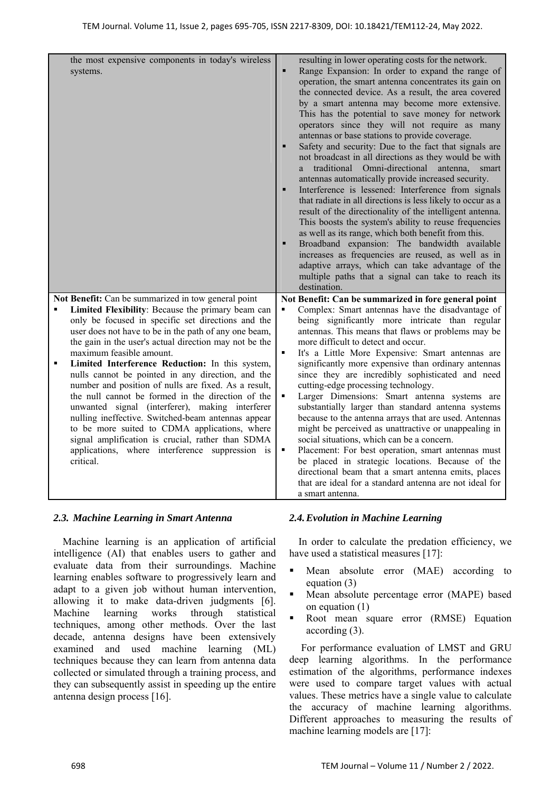|   | the most expensive components in today's wireless<br>systems.                                                   | П              | resulting in lower operating costs for the network.<br>Range Expansion: In order to expand the range of<br>operation, the smart antenna concentrates its gain on<br>the connected device. As a result, the area covered<br>by a smart antenna may become more extensive.<br>This has the potential to save money for network<br>operators since they will not require as many<br>antennas or base stations to provide coverage.<br>Safety and security: Due to the fact that signals are<br>not broadcast in all directions as they would be with<br>traditional Omni-directional<br>antenna,<br>smart<br>a -<br>antennas automatically provide increased security.<br>Interference is lessened: Interference from signals<br>that radiate in all directions is less likely to occur as a<br>result of the directionality of the intelligent antenna.<br>This boosts the system's ability to reuse frequencies<br>as well as its range, which both benefit from this.<br>Broadband expansion: The bandwidth available<br>increases as frequencies are reused, as well as in<br>adaptive arrays, which can take advantage of the<br>multiple paths that a signal can take to reach its<br>destination. |
|---|-----------------------------------------------------------------------------------------------------------------|----------------|-------------------------------------------------------------------------------------------------------------------------------------------------------------------------------------------------------------------------------------------------------------------------------------------------------------------------------------------------------------------------------------------------------------------------------------------------------------------------------------------------------------------------------------------------------------------------------------------------------------------------------------------------------------------------------------------------------------------------------------------------------------------------------------------------------------------------------------------------------------------------------------------------------------------------------------------------------------------------------------------------------------------------------------------------------------------------------------------------------------------------------------------------------------------------------------------------------|
|   | Not Benefit: Can be summarized in tow general point<br>Limited Flexibility: Because the primary beam can        | ٠              | Not Benefit: Can be summarized in fore general point<br>Complex: Smart antennas have the disadvantage of                                                                                                                                                                                                                                                                                                                                                                                                                                                                                                                                                                                                                                                                                                                                                                                                                                                                                                                                                                                                                                                                                              |
|   | only be focused in specific set directions and the                                                              |                | being significantly more intricate than regular                                                                                                                                                                                                                                                                                                                                                                                                                                                                                                                                                                                                                                                                                                                                                                                                                                                                                                                                                                                                                                                                                                                                                       |
|   | user does not have to be in the path of any one beam,<br>the gain in the user's actual direction may not be the |                | antennas. This means that flaws or problems may be<br>more difficult to detect and occur.                                                                                                                                                                                                                                                                                                                                                                                                                                                                                                                                                                                                                                                                                                                                                                                                                                                                                                                                                                                                                                                                                                             |
|   | maximum feasible amount.                                                                                        | ٠              | It's a Little More Expensive: Smart antennas are                                                                                                                                                                                                                                                                                                                                                                                                                                                                                                                                                                                                                                                                                                                                                                                                                                                                                                                                                                                                                                                                                                                                                      |
| ٠ | Limited Interference Reduction: In this system,                                                                 |                | significantly more expensive than ordinary antennas                                                                                                                                                                                                                                                                                                                                                                                                                                                                                                                                                                                                                                                                                                                                                                                                                                                                                                                                                                                                                                                                                                                                                   |
|   | nulls cannot be pointed in any direction, and the<br>number and position of nulls are fixed. As a result,       |                | since they are incredibly sophisticated and need<br>cutting-edge processing technology.                                                                                                                                                                                                                                                                                                                                                                                                                                                                                                                                                                                                                                                                                                                                                                                                                                                                                                                                                                                                                                                                                                               |
|   | the null cannot be formed in the direction of the                                                               | $\blacksquare$ | Larger Dimensions: Smart antenna systems are                                                                                                                                                                                                                                                                                                                                                                                                                                                                                                                                                                                                                                                                                                                                                                                                                                                                                                                                                                                                                                                                                                                                                          |
|   | unwanted signal (interferer), making interferer                                                                 |                | substantially larger than standard antenna systems                                                                                                                                                                                                                                                                                                                                                                                                                                                                                                                                                                                                                                                                                                                                                                                                                                                                                                                                                                                                                                                                                                                                                    |
|   | nulling ineffective. Switched-beam antennas appear<br>to be more suited to CDMA applications, where             |                | because to the antenna arrays that are used. Antennas<br>might be perceived as unattractive or unappealing in                                                                                                                                                                                                                                                                                                                                                                                                                                                                                                                                                                                                                                                                                                                                                                                                                                                                                                                                                                                                                                                                                         |
|   | signal amplification is crucial, rather than SDMA                                                               |                | social situations, which can be a concern.                                                                                                                                                                                                                                                                                                                                                                                                                                                                                                                                                                                                                                                                                                                                                                                                                                                                                                                                                                                                                                                                                                                                                            |
|   | applications, where interference suppression is                                                                 | ٠              | Placement: For best operation, smart antennas must                                                                                                                                                                                                                                                                                                                                                                                                                                                                                                                                                                                                                                                                                                                                                                                                                                                                                                                                                                                                                                                                                                                                                    |
|   | critical.                                                                                                       |                | be placed in strategic locations. Because of the<br>directional beam that a smart antenna emits, places                                                                                                                                                                                                                                                                                                                                                                                                                                                                                                                                                                                                                                                                                                                                                                                                                                                                                                                                                                                                                                                                                               |
|   |                                                                                                                 |                | that are ideal for a standard antenna are not ideal for                                                                                                                                                                                                                                                                                                                                                                                                                                                                                                                                                                                                                                                                                                                                                                                                                                                                                                                                                                                                                                                                                                                                               |
|   |                                                                                                                 |                | a smart antenna.                                                                                                                                                                                                                                                                                                                                                                                                                                                                                                                                                                                                                                                                                                                                                                                                                                                                                                                                                                                                                                                                                                                                                                                      |

# *2.3. Machine Learning in Smart Antenna*

Machine learning is an application of artificial intelligence (AI) that enables users to gather and evaluate data from their surroundings. Machine learning enables software to progressively learn and adapt to a given job without human intervention, allowing it to make data-driven judgments [6]. Machine learning works through statistical techniques, among other methods. Over the last decade, antenna designs have been extensively examined and used machine learning (ML) techniques because they can learn from antenna data collected or simulated through a training process, and they can subsequently assist in speeding up the entire antenna design process [16].

# *2.4.Evolution in Machine Learning*

In order to calculate the predation efficiency, we have used a statistical measures [17]:

- Mean absolute error (MAE) according to equation (3)
- Mean absolute percentage error (MAPE) based on equation (1)
- Root mean square error (RMSE) Equation according (3).

 For performance evaluation of LMST and GRU deep learning algorithms. In the performance estimation of the algorithms, performance indexes were used to compare target values with actual values. These metrics have a single value to calculate the accuracy of machine learning algorithms. Different approaches to measuring the results of machine learning models are [17]: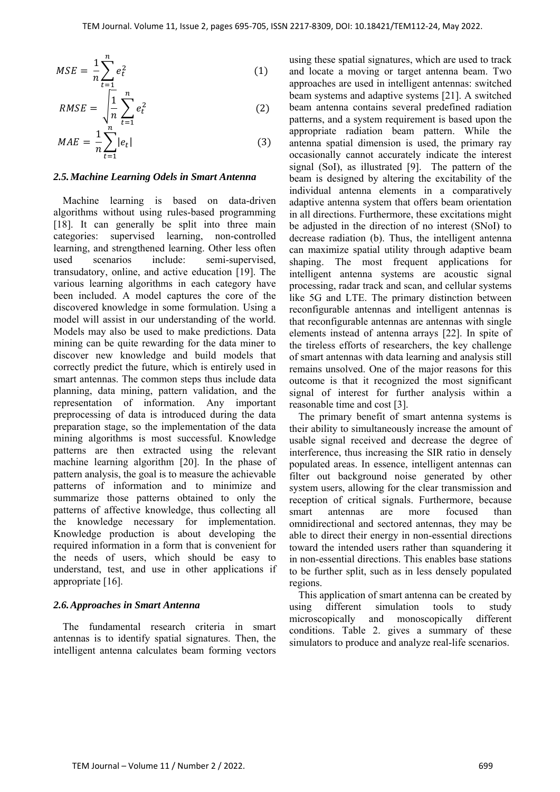$$
MSE = \frac{1}{n} \sum_{t=1}^{n} e_t^2
$$
 (1)

$$
RMSE = \sqrt{\frac{1}{n} \sum_{t=1}^{n} e_t^2}
$$
 (2)

$$
MAE = \frac{1}{n} \sum_{t=1}^{n} |e_t|
$$
 (3)

#### *2.5.Machine Learning Odels in Smart Antenna*

Machine learning is based on data-driven algorithms without using rules-based programming [18]. It can generally be split into three main categories: supervised learning, non-controlled learning, and strengthened learning. Other less often used scenarios include: semi-supervised, transudatory, online, and active education [19]. The various learning algorithms in each category have been included. A model captures the core of the discovered knowledge in some formulation. Using a model will assist in our understanding of the world. Models may also be used to make predictions. Data mining can be quite rewarding for the data miner to discover new knowledge and build models that correctly predict the future, which is entirely used in smart antennas. The common steps thus include data planning, data mining, pattern validation, and the representation of information. Any important preprocessing of data is introduced during the data preparation stage, so the implementation of the data mining algorithms is most successful. Knowledge patterns are then extracted using the relevant machine learning algorithm [20]. In the phase of pattern analysis, the goal is to measure the achievable patterns of information and to minimize and summarize those patterns obtained to only the patterns of affective knowledge, thus collecting all the knowledge necessary for implementation. Knowledge production is about developing the required information in a form that is convenient for the needs of users, which should be easy to understand, test, and use in other applications if appropriate [16].

#### *2.6.Approaches in Smart Antenna*

The fundamental research criteria in smart antennas is to identify spatial signatures. Then, the intelligent antenna calculates beam forming vectors using these spatial signatures, which are used to track and locate a moving or target antenna beam. Two approaches are used in intelligent antennas: switched beam systems and adaptive systems [21]. A switched beam antenna contains several predefined radiation patterns, and a system requirement is based upon the appropriate radiation beam pattern. While the antenna spatial dimension is used, the primary ray occasionally cannot accurately indicate the interest signal (SoI), as illustrated [9]. The pattern of the beam is designed by altering the excitability of the individual antenna elements in a comparatively adaptive antenna system that offers beam orientation in all directions. Furthermore, these excitations might be adjusted in the direction of no interest (SNoI) to decrease radiation (b). Thus, the intelligent antenna can maximize spatial utility through adaptive beam shaping. The most frequent applications for intelligent antenna systems are acoustic signal processing, radar track and scan, and cellular systems like 5G and LTE. The primary distinction between reconfigurable antennas and intelligent antennas is that reconfigurable antennas are antennas with single elements instead of antenna arrays [22]. In spite of the tireless efforts of researchers, the key challenge of smart antennas with data learning and analysis still remains unsolved. One of the major reasons for this outcome is that it recognized the most significant signal of interest for further analysis within a reasonable time and cost [3].

The primary benefit of smart antenna systems is their ability to simultaneously increase the amount of usable signal received and decrease the degree of interference, thus increasing the SIR ratio in densely populated areas. In essence, intelligent antennas can filter out background noise generated by other system users, allowing for the clear transmission and reception of critical signals. Furthermore, because smart antennas are more focused than omnidirectional and sectored antennas, they may be able to direct their energy in non-essential directions toward the intended users rather than squandering it in non-essential directions. This enables base stations to be further split, such as in less densely populated regions.

This application of smart antenna can be created by using different simulation tools to study microscopically and monoscopically different conditions. Table 2. gives a summary of these simulators to produce and analyze real-life scenarios.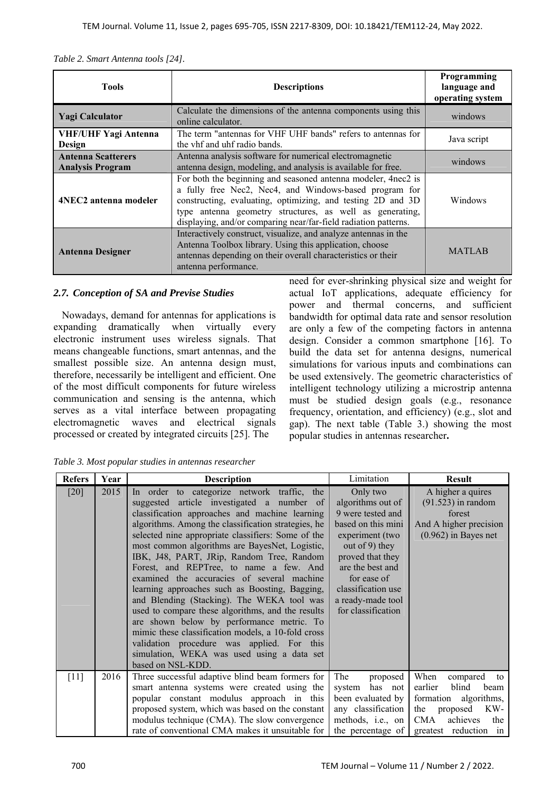|  | Table 2. Smart Antenna tools [24]. |  |
|--|------------------------------------|--|
|--|------------------------------------|--|

| <b>Tools</b>                                         | <b>Descriptions</b>                                                                                                                                                                                                                                                                                                   | Programming<br>language and<br>operating system |
|------------------------------------------------------|-----------------------------------------------------------------------------------------------------------------------------------------------------------------------------------------------------------------------------------------------------------------------------------------------------------------------|-------------------------------------------------|
| <b>Yagi Calculator</b>                               | Calculate the dimensions of the antenna components using this<br>online calculator.                                                                                                                                                                                                                                   | windows                                         |
| <b>VHF/UHF Yagi Antenna</b><br>Design                | The term "antennas for VHF UHF bands" refers to antennas for<br>the vhf and uhf radio bands.                                                                                                                                                                                                                          | Java script                                     |
| <b>Antenna Scatterers</b><br><b>Analysis Program</b> | Antenna analysis software for numerical electromagnetic<br>antenna design, modeling, and analysis is available for free.                                                                                                                                                                                              | windows                                         |
| 4NEC2 antenna modeler                                | For both the beginning and seasoned antenna modeler, 4nec2 is<br>a fully free Nec2, Nec4, and Windows-based program for<br>constructing, evaluating, optimizing, and testing 2D and 3D<br>type antenna geometry structures, as well as generating,<br>displaying, and/or comparing near/far-field radiation patterns. | Windows                                         |
| <b>Antenna Designer</b>                              | Interactively construct, visualize, and analyze antennas in the<br>Antenna Toolbox library. Using this application, choose<br>antennas depending on their overall characteristics or their<br>antenna performance.                                                                                                    | <b>MATLAB</b>                                   |

# *2.7. Conception of SA and Previse Studies*

Nowadays, demand for antennas for applications is expanding dramatically when virtually every electronic instrument uses wireless signals. That means changeable functions, smart antennas, and the smallest possible size. An antenna design must, therefore, necessarily be intelligent and efficient. One of the most difficult components for future wireless communication and sensing is the antenna, which serves as a vital interface between propagating electromagnetic waves and electrical signals processed or created by integrated circuits [25]. The

need for ever-shrinking physical size and weight for actual IoT applications, adequate efficiency for power and thermal concerns, and sufficient bandwidth for optimal data rate and sensor resolution are only a few of the competing factors in antenna design. Consider a common smartphone [16]. To build the data set for antenna designs, numerical simulations for various inputs and combinations can be used extensively. The geometric characteristics of intelligent technology utilizing a microstrip antenna must be studied design goals (e.g., resonance frequency, orientation, and efficiency) (e.g., slot and gap). The next table (Table 3.) showing the most popular studies in antennas researcher**.** 

*Table 3. Most popular studies in antennas researcher* 

| <b>Refers</b> | Year | <b>Description</b>                                                                                                                                                                                                                                                                                                                                                                                                                                                                                                                                                                                                                                                                                                                                                                                                        | Limitation                                                                                                                                                                                                                            | <b>Result</b>                                                                                                                                         |
|---------------|------|---------------------------------------------------------------------------------------------------------------------------------------------------------------------------------------------------------------------------------------------------------------------------------------------------------------------------------------------------------------------------------------------------------------------------------------------------------------------------------------------------------------------------------------------------------------------------------------------------------------------------------------------------------------------------------------------------------------------------------------------------------------------------------------------------------------------------|---------------------------------------------------------------------------------------------------------------------------------------------------------------------------------------------------------------------------------------|-------------------------------------------------------------------------------------------------------------------------------------------------------|
| [20]          | 2015 | In order to categorize network traffic, the<br>suggested article investigated a number of<br>classification approaches and machine learning<br>algorithms. Among the classification strategies, he<br>selected nine appropriate classifiers: Some of the<br>most common algorithms are BayesNet, Logistic,<br>IBK, J48, PART, JRip, Random Tree, Random<br>Forest, and REPTree, to name a few. And<br>examined the accuracies of several machine<br>learning approaches such as Boosting, Bagging,<br>and Blending (Stacking). The WEKA tool was<br>used to compare these algorithms, and the results<br>are shown below by performance metric. To<br>mimic these classification models, a 10-fold cross<br>validation procedure was applied. For this<br>simulation, WEKA was used using a data set<br>based on NSL-KDD. | Only two<br>algorithms out of<br>9 were tested and<br>based on this mini<br>experiment (two<br>out of 9) they<br>proved that they<br>are the best and<br>for ease of<br>classification use<br>a ready-made tool<br>for classification | A higher a quires<br>$(91.523)$ in random<br>forest<br>And A higher precision<br>$(0.962)$ in Bayes net                                               |
| $[11]$        | 2016 | Three successful adaptive blind beam formers for<br>smart antenna systems were created using the<br>popular constant modulus approach in this<br>proposed system, which was based on the constant<br>modulus technique (CMA). The slow convergence<br>rate of conventional CMA makes it unsuitable for                                                                                                                                                                                                                                                                                                                                                                                                                                                                                                                    | The<br>proposed<br>has not<br>system<br>been evaluated by<br>any classification<br>methods, i.e., on<br>the percentage of                                                                                                             | When<br>compared<br>to<br>earlier<br>blind<br>beam<br>formation algorithms,<br>KW-<br>the proposed<br>CMA<br>achieves<br>the<br>greatest reduction in |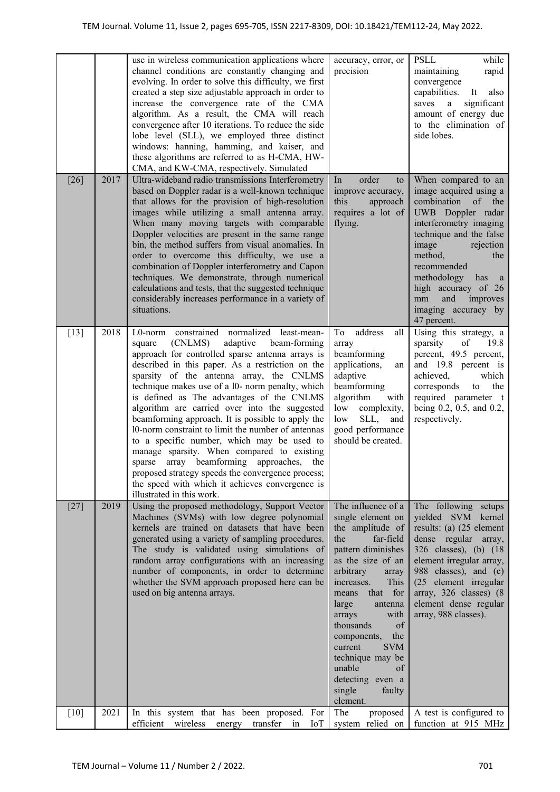|        |      | use in wireless communication applications where<br>channel conditions are constantly changing and<br>evolving. In order to solve this difficulty, we first<br>created a step size adjustable approach in order to<br>increase the convergence rate of the CMA<br>algorithm. As a result, the CMA will reach<br>convergence after 10 iterations. To reduce the side<br>lobe level (SLL), we employed three distinct<br>windows: hanning, hamming, and kaiser, and<br>these algorithms are referred to as H-CMA, HW-<br>CMA, and KW-CMA, respectively. Simulated                                                                                                                                                                                                                              | accuracy, error, or<br>precision                                                                                                                                                                                                                                                                                                                                                               | PSLL<br>while<br>maintaining<br>rapid<br>convergence<br>capabilities.<br>It<br>also<br>significant<br>saves<br>a<br>amount of energy due<br>to the elimination of<br>side lobes.                                                                                                                                                    |
|--------|------|----------------------------------------------------------------------------------------------------------------------------------------------------------------------------------------------------------------------------------------------------------------------------------------------------------------------------------------------------------------------------------------------------------------------------------------------------------------------------------------------------------------------------------------------------------------------------------------------------------------------------------------------------------------------------------------------------------------------------------------------------------------------------------------------|------------------------------------------------------------------------------------------------------------------------------------------------------------------------------------------------------------------------------------------------------------------------------------------------------------------------------------------------------------------------------------------------|-------------------------------------------------------------------------------------------------------------------------------------------------------------------------------------------------------------------------------------------------------------------------------------------------------------------------------------|
| $[26]$ | 2017 | Ultra-wideband radio transmissions Interferometry<br>based on Doppler radar is a well-known technique<br>that allows for the provision of high-resolution<br>images while utilizing a small antenna array.<br>When many moving targets with comparable<br>Doppler velocities are present in the same range<br>bin, the method suffers from visual anomalies. In<br>order to overcome this difficulty, we use a<br>combination of Doppler interferometry and Capon<br>techniques. We demonstrate, through numerical<br>calculations and tests, that the suggested technique<br>considerably increases performance in a variety of<br>situations.                                                                                                                                              | order<br>In<br>to<br>improve accuracy,<br>this<br>approach<br>requires a lot of<br>flying.                                                                                                                                                                                                                                                                                                     | When compared to an<br>image acquired using a<br>combination<br>of<br>the<br>UWB Doppler radar<br>interferometry imaging<br>technique and the false<br>image<br>rejection<br>method,<br>the<br>recommended<br>methodology has<br><sub>a</sub><br>high accuracy of 26<br>and<br>improves<br>mm<br>imaging accuracy by<br>47 percent. |
| $[13]$ | 2018 | L0-norm constrained normalized<br>least-mean-<br>(CNLMS)<br>adaptive<br>beam-forming<br>square<br>approach for controlled sparse antenna arrays is<br>described in this paper. As a restriction on the<br>sparsity of the antenna array, the CNLMS<br>technique makes use of a 10- norm penalty, which<br>is defined as The advantages of the CNLMS<br>algorithm are carried over into the suggested<br>beamforming approach. It is possible to apply the<br>10-norm constraint to limit the number of antennas<br>to a specific number, which may be used to<br>manage sparsity. When compared to existing<br>sparse array beamforming approaches, the<br>proposed strategy speeds the convergence process;<br>the speed with which it achieves convergence is<br>illustrated in this work. | address<br>To<br>all<br>array<br>beamforming<br>applications,<br>an<br>adaptive<br>beamforming<br>algorithm<br>with<br>low<br>complexity,<br>SLL,<br>low<br>and<br>good performance<br>should be created.                                                                                                                                                                                      | Using this strategy, a<br>sparsity<br>of<br>19.8<br>percent, 49.5 percent,<br>and 19.8 percent is<br>achieved,<br>which<br>corresponds<br>the<br>to<br>required parameter t<br>being 0.2, 0.5, and 0.2,<br>respectively.                                                                                                            |
| $[27]$ | 2019 | Using the proposed methodology, Support Vector<br>Machines (SVMs) with low degree polynomial<br>kernels are trained on datasets that have been<br>generated using a variety of sampling procedures.<br>The study is validated using simulations of<br>random array configurations with an increasing<br>number of components, in order to determine<br>whether the SVM approach proposed here can be<br>used on big antenna arrays.                                                                                                                                                                                                                                                                                                                                                          | The influence of a<br>single element on<br>the amplitude of<br>the<br>far-field<br>pattern diminishes<br>as the size of an<br>arbitrary<br>array<br>increases.<br>This<br>for<br>that<br>means<br>antenna<br>large<br>arrays<br>with<br>thousands<br>of<br>the<br>components,<br>current<br><b>SVM</b><br>technique may be<br>unable<br>of<br>detecting even a<br>single<br>faulty<br>element. | The following setups<br>yielded SVM kernel<br>results: (a) (25 element<br>dense regular array,<br>326 classes), (b) (18<br>element irregular array,<br>988 classes), and (c)<br>(25 element irregular<br>array, 326 classes) (8<br>element dense regular<br>array, 988 classes).                                                    |
| $[10]$ | 2021 | In this system that has been proposed. For<br>efficient wireless energy transfer<br>$\sin$<br>IоT                                                                                                                                                                                                                                                                                                                                                                                                                                                                                                                                                                                                                                                                                            | The<br>proposed<br>system relied on                                                                                                                                                                                                                                                                                                                                                            | A test is configured to<br>function at 915 MHz                                                                                                                                                                                                                                                                                      |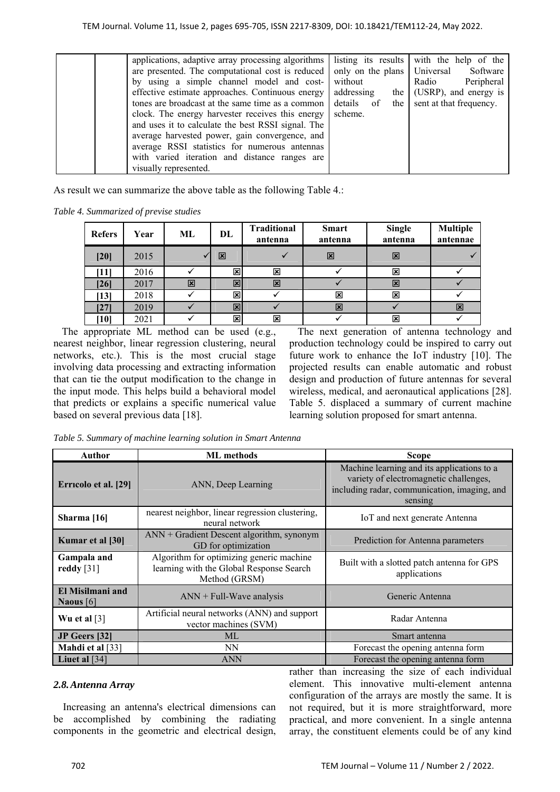| applications, adaptive array processing algorithms  <br>are presented. The computational cost is reduced<br>by using a simple channel model and cost-<br>effective estimate approaches. Continuous energy<br>tones are broadcast at the same time as a common<br>clock. The energy harvester receives this energy<br>and uses it to calculate the best RSSI signal. The<br>average harvested power, gain convergence, and<br>average RSSI statistics for numerous antennas<br>with varied iteration and distance ranges are<br>visually represented. | only on the plans Universal<br>without<br>addressing<br>details of<br>scheme. | listing its results with the help of the<br>Software<br>Peripheral<br>Radio<br>the $(USRP)$ , and energy is<br>the sent at that frequency. |
|------------------------------------------------------------------------------------------------------------------------------------------------------------------------------------------------------------------------------------------------------------------------------------------------------------------------------------------------------------------------------------------------------------------------------------------------------------------------------------------------------------------------------------------------------|-------------------------------------------------------------------------------|--------------------------------------------------------------------------------------------------------------------------------------------|
|------------------------------------------------------------------------------------------------------------------------------------------------------------------------------------------------------------------------------------------------------------------------------------------------------------------------------------------------------------------------------------------------------------------------------------------------------------------------------------------------------------------------------------------------------|-------------------------------------------------------------------------------|--------------------------------------------------------------------------------------------------------------------------------------------|

As result we can summarize the above table as the following Table 4.:

*Table 4. Summarized of previse studies* 

| <b>Refers</b>    | Year | ML | DL                      | <b>Traditional</b><br>antenna | <b>Smart</b><br>antenna | <b>Single</b><br>antenna | <b>Multiple</b><br>antennae |
|------------------|------|----|-------------------------|-------------------------------|-------------------------|--------------------------|-----------------------------|
| $[20]$           | 2015 |    | 区                       |                               | 図                       | 区                        |                             |
| [11]             | 2016 |    | $\mathbf{x}$            | 図                             |                         | 図                        |                             |
| $[26]$           | 2017 | 図  | $\mathbf{\overline{x}}$ | 区                             |                         | 区                        |                             |
| $\vert 13 \vert$ | 2018 |    | $\mathbf{x}$            |                               | $\overline{\mathbf{x}}$ | 図                        |                             |
| 271              | 2019 |    | 図                       |                               | 図                       |                          | 区                           |
| 10               | 2021 |    | $\mathbf{x}$            | 図                             |                         | 図                        |                             |

The appropriate ML method can be used (e.g., nearest neighbor, linear regression clustering, neural networks, etc.). This is the most crucial stage involving data processing and extracting information that can tie the output modification to the change in the input mode. This helps build a behavioral model that predicts or explains a specific numerical value based on several previous data [18].

The next generation of antenna technology and production technology could be inspired to carry out future work to enhance the IoT industry [10]. The projected results can enable automatic and robust design and production of future antennas for several wireless, medical, and aeronautical applications [28]. Table 5. displaced a summary of current machine learning solution proposed for smart antenna.

*Table 5. Summary of machine learning solution in Smart Antenna* 

| Author                          | <b>ML</b> methods                                                                                     | <b>Scope</b>                                                                                                                                    |  |
|---------------------------------|-------------------------------------------------------------------------------------------------------|-------------------------------------------------------------------------------------------------------------------------------------------------|--|
| Erricolo et al. [29]            | ANN, Deep Learning                                                                                    | Machine learning and its applications to a<br>variety of electromagnetic challenges,<br>including radar, communication, imaging, and<br>sensing |  |
| Sharma $[16]$                   | nearest neighbor, linear regression clustering,<br>neural network                                     | IoT and next generate Antenna                                                                                                                   |  |
| Kumar et al [30]                | $ANN + Gradient Descent algorithm, synonym$<br>GD for optimization                                    | Prediction for Antenna parameters                                                                                                               |  |
| Gampala and<br>reddy $[31]$     | Algorithm for optimizing generic machine<br>learning with the Global Response Search<br>Method (GRSM) | Built with a slotted patch antenna for GPS<br>applications                                                                                      |  |
| El Misilmani and<br>Naous $[6]$ | $ANN + Full-Wave$ analysis                                                                            | Generic Antenna                                                                                                                                 |  |
| Wu et al $[3]$                  | Artificial neural networks (ANN) and support<br>vector machines (SVM)                                 | Radar Antenna                                                                                                                                   |  |
| JP Geers [32]                   | ML                                                                                                    | Smart antenna                                                                                                                                   |  |
| Mahdi et al [33]                | NN                                                                                                    | Forecast the opening antenna form                                                                                                               |  |
| Liuet al $[34]$                 | <b>ANN</b>                                                                                            | Forecast the opening antenna form                                                                                                               |  |

# *2.8.Antenna Array*

Increasing an antenna's electrical dimensions can be accomplished by combining the radiating components in the geometric and electrical design, rather than increasing the size of each individual element. This innovative multi-element antenna configuration of the arrays are mostly the same. It is not required, but it is more straightforward, more practical, and more convenient. In a single antenna array, the constituent elements could be of any kind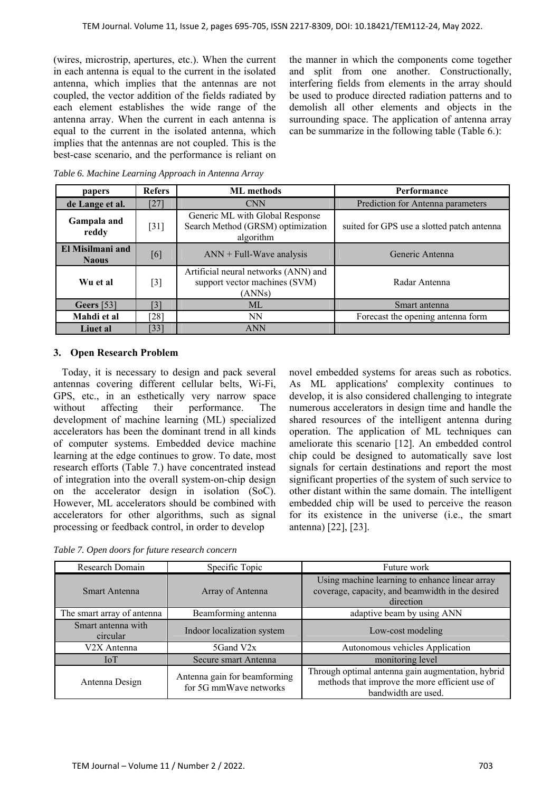(wires, microstrip, apertures, etc.). When the current in each antenna is equal to the current in the isolated antenna, which implies that the antennas are not coupled, the vector addition of the fields radiated by each element establishes the wide range of the antenna array. When the current in each antenna is equal to the current in the isolated antenna, which implies that the antennas are not coupled. This is the best-case scenario, and the performance is reliant on the manner in which the components come together and split from one another. Constructionally, interfering fields from elements in the array should be used to produce directed radiation patterns and to demolish all other elements and objects in the surrounding space. The application of antenna array can be summarize in the following table (Table 6.):

| papers                           | <b>Refers</b>      | <b>ML</b> methods                                                                 | Performance                                |  |
|----------------------------------|--------------------|-----------------------------------------------------------------------------------|--------------------------------------------|--|
| de Lange et al.                  | [27]               | <b>CNN</b>                                                                        | Prediction for Antenna parameters          |  |
| Gampala and<br>reddy             | $[31]$             | Generic ML with Global Response<br>Search Method (GRSM) optimization<br>algorithm | suited for GPS use a slotted patch antenna |  |
| El Misilmani and<br><b>Naous</b> | [6]                | $ANN + Full-Wave analysis$                                                        | Generic Antenna                            |  |
| Wu et al                         | $[3]$              | Artificial neural networks (ANN) and<br>support vector machines (SVM)<br>(ANNs)   | Radar Antenna                              |  |
| <b>Geers</b> [53]                | [3]                | <b>ML</b>                                                                         | Smart antenna                              |  |
| Mahdi et al                      | $\lceil 28 \rceil$ | <b>NN</b>                                                                         | Forecast the opening antenna form          |  |
| Liuet al                         | [33]               | <b>ANN</b>                                                                        |                                            |  |

*Table 6. Machine Learning Approach in Antenna Array* 

# **3. Open Research Problem**

Today, it is necessary to design and pack several antennas covering different cellular belts, Wi-Fi, GPS, etc., in an esthetically very narrow space without affecting their performance. The development of machine learning (ML) specialized accelerators has been the dominant trend in all kinds of computer systems. Embedded device machine learning at the edge continues to grow. To date, most research efforts (Table 7.) have concentrated instead of integration into the overall system-on-chip design on the accelerator design in isolation (SoC). However, ML accelerators should be combined with accelerators for other algorithms, such as signal processing or feedback control, in order to develop

develop, it is also considered challenging to integrate numerous accelerators in design time and handle the shared resources of the intelligent antenna during operation. The application of ML techniques can ameliorate this scenario [12]. An embedded control chip could be designed to automatically save lost signals for certain destinations and report the most significant properties of the system of such service to other distant within the same domain. The intelligent embedded chip will be used to perceive the reason for its existence in the universe (i.e., the smart antenna) [22], [23].

novel embedded systems for areas such as robotics. As ML applications' complexity continues to

*Table 7. Open doors for future research concern* 

| Research Domain                | Specific Topic                                         | Future work                                                                                                                |
|--------------------------------|--------------------------------------------------------|----------------------------------------------------------------------------------------------------------------------------|
| Smart Antenna                  | Array of Antenna                                       | Using machine learning to enhance linear array<br>coverage, capacity, and beamwidth in the desired<br>direction            |
| The smart array of antenna     | Beamforming antenna                                    | adaptive beam by using ANN                                                                                                 |
| Smart antenna with<br>circular | Indoor localization system                             | Low-cost modeling                                                                                                          |
| V2X Antenna                    | 5Gand V2x                                              | Autonomous vehicles Application                                                                                            |
| <b>IoT</b>                     | Secure smart Antenna                                   | monitoring level                                                                                                           |
| Antenna Design                 | Antenna gain for beamforming<br>for 5G mmWave networks | Through optimal antenna gain augmentation, hybrid<br>methods that improve the more efficient use of<br>bandwidth are used. |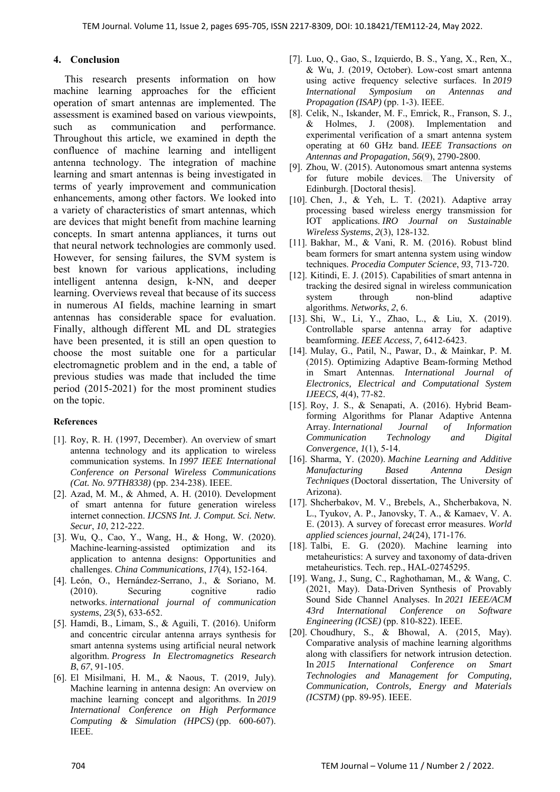## **4. Conclusion**

 This research presents information on how machine learning approaches for the efficient operation of smart antennas are implemented. The assessment is examined based on various viewpoints, such as communication and performance. Throughout this article, we examined in depth the confluence of machine learning and intelligent antenna technology. The integration of machine learning and smart antennas is being investigated in terms of yearly improvement and communication enhancements, among other factors. We looked into a variety of characteristics of smart antennas, which are devices that might benefit from machine learning concepts. In smart antenna appliances, it turns out that neural network technologies are commonly used. However, for sensing failures, the SVM system is best known for various applications, including intelligent antenna design, k-NN, and deeper learning. Overviews reveal that because of its success in numerous AI fields, machine learning in smart antennas has considerable space for evaluation. Finally, although different ML and DL strategies have been presented, it is still an open question to choose the most suitable one for a particular electromagnetic problem and in the end, a table of previous studies was made that included the time period (2015-2021) for the most prominent studies on the topic.

## **References**

- [1]. Roy, R. H. (1997, December). An overview of smart antenna technology and its application to wireless communication systems. In *1997 IEEE International Conference on Personal Wireless Communications (Cat. No. 97TH8338)* (pp. 234-238). IEEE.
- [2]. Azad, M. M., & Ahmed, A. H. (2010). Development of smart antenna for future generation wireless internet connection. *IJCSNS Int. J. Comput. Sci. Netw. Secur*, *10*, 212-222.
- [3]. Wu, Q., Cao, Y., Wang, H., & Hong, W. (2020). Machine-learning-assisted optimization and its application to antenna designs: Opportunities and challenges. *China Communications*, *17*(4), 152-164.
- [4]. León, O., Hernández‐Serrano, J., & Soriano, M. (2010). Securing cognitive radio networks. *international journal of communication systems*, *23*(5), 633-652.
- [5]. Hamdi, B., Limam, S., & Aguili, T. (2016). Uniform and concentric circular antenna arrays synthesis for smart antenna systems using artificial neural network algorithm. *Progress In Electromagnetics Research B*, *67*, 91-105.
- [6]. El Misilmani, H. M., & Naous, T. (2019, July). Machine learning in antenna design: An overview on machine learning concept and algorithms. In *2019 International Conference on High Performance Computing & Simulation (HPCS)* (pp. 600-607). IEEE.
- [7]. Luo, Q., Gao, S., Izquierdo, B. S., Yang, X., Ren, X., & Wu, J. (2019, October). Low-cost smart antenna using active frequency selective surfaces. In *2019 International Symposium on Antennas and Propagation (ISAP)* (pp. 1-3). IEEE.
- [8]. Celik, N., Iskander, M. F., Emrick, R., Franson, S. J., & Holmes, J. (2008). Implementation and experimental verification of a smart antenna system operating at 60 GHz band. *IEEE Transactions on Antennas and Propagation*, *56*(9), 2790-2800.
- [9]. Zhou, W. (2015). Autonomous smart antenna systems for future mobile devices. The University of Edinburgh. [Doctoral thesis].
- [10]. Chen, J., & Yeh, L. T. (2021). Adaptive array processing based wireless energy transmission for IOT applications. *IRO Journal on Sustainable Wireless Systems*, *2*(3), 128-132.
- [11]. Bakhar, M., & Vani, R. M. (2016). Robust blind beam formers for smart antenna system using window techniques. *Procedia Computer Science*, *93*, 713-720.
- [12]. Kitindi, E. J. (2015). Capabilities of smart antenna in tracking the desired signal in wireless communication system through non-blind adaptive algorithms. *Networks*, *2*, 6.
- [13]. Shi, W., Li, Y., Zhao, L., & Liu, X. (2019). Controllable sparse antenna array for adaptive beamforming. *IEEE Access*, *7*, 6412-6423.
- [14]. Mulay, G., Patil, N., Pawar, D., & Mainkar, P. M. (2015). Optimizing Adaptive Beam-forming Method in Smart Antennas. *International Journal of Electronics, Electrical and Computational System IJEECS, 4*(4), 77-82.
- [15]. Roy, J. S., & Senapati, A. (2016). Hybrid Beamforming Algorithms for Planar Adaptive Antenna Array. *International Journal of Information Communication Technology and Digital Convergence*, *1*(1), 5-14.
- [16]. Sharma, Y. (2020). *Machine Learning and Additive Manufacturing Based Antenna Design Techniques* (Doctoral dissertation, The University of Arizona).
- [17]. Shcherbakov, M. V., Brebels, A., Shcherbakova, N. L., Tyukov, A. P., Janovsky, T. A., & Kamaev, V. A. E. (2013). A survey of forecast error measures. *World applied sciences journal*, *24*(24), 171-176.
- [18]. Talbi, E. G. (2020). Machine learning into metaheuristics: A survey and taxonomy of data-driven metaheuristics. Tech. rep., HAL-02745295.
- [19]. Wang, J., Sung, C., Raghothaman, M., & Wang, C. (2021, May). Data-Driven Synthesis of Provably Sound Side Channel Analyses. In *2021 IEEE/ACM 43rd International Conference on Software Engineering (ICSE)* (pp. 810-822). IEEE.
- [20]. Choudhury, S., & Bhowal, A. (2015, May). Comparative analysis of machine learning algorithms along with classifiers for network intrusion detection. In *2015 International Conference on Smart Technologies and Management for Computing, Communication, Controls, Energy and Materials (ICSTM)* (pp. 89-95). IEEE.